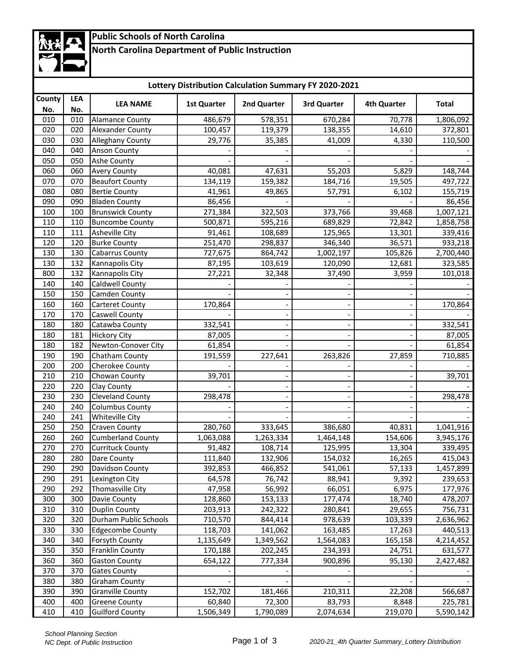# **Public Schools of North Carolina**

## **North Carolina Department of Public Instruction**

| Lottery Distribution Calculation Summary FY 2020-2021 |            |                          |                    |             |             |                    |              |  |
|-------------------------------------------------------|------------|--------------------------|--------------------|-------------|-------------|--------------------|--------------|--|
| County<br>No.                                         | LEA<br>No. | <b>LEA NAME</b>          | <b>1st Quarter</b> | 2nd Quarter | 3rd Quarter | <b>4th Quarter</b> | <b>Total</b> |  |
| 010                                                   | 010        | <b>Alamance County</b>   | 486,679            | 578,351     | 670,284     | 70,778             | 1,806,092    |  |
| 020                                                   | 020        | <b>Alexander County</b>  | 100,457            | 119,379     | 138,355     | 14,610             | 372,801      |  |
| 030                                                   | 030        | <b>Alleghany County</b>  | 29,776             | 35,385      | 41,009      | 4,330              | 110,500      |  |
| 040                                                   | 040        | <b>Anson County</b>      |                    |             |             |                    |              |  |
| 050                                                   | 050        | Ashe County              |                    |             |             |                    |              |  |
| 060                                                   | 060        | <b>Avery County</b>      | 40,081             | 47,631      | 55,203      | 5,829              | 148,744      |  |
| 070                                                   | 070        | <b>Beaufort County</b>   | 134,119            | 159,382     | 184,716     | 19,505             | 497,722      |  |
| 080                                                   | 080        | <b>Bertie County</b>     | 41,961             | 49,865      | 57,791      | 6,102              | 155,719      |  |
| 090                                                   | 090        | <b>Bladen County</b>     | 86,456             |             |             |                    | 86,456       |  |
| 100                                                   | 100        | <b>Brunswick County</b>  | 271,384            | 322,503     | 373,766     | 39,468             | 1,007,121    |  |
| 110                                                   | 110        | <b>Buncombe County</b>   | 500,871            | 595,216     | 689,829     | 72,842             | 1,858,758    |  |
| 110                                                   | 111        | <b>Asheville City</b>    | 91,461             | 108,689     | 125,965     | 13,301             | 339,416      |  |
| 120                                                   | 120        | <b>Burke County</b>      | 251,470            | 298,837     | 346,340     | 36,571             | 933,218      |  |
| 130                                                   | 130        | <b>Cabarrus County</b>   | 727,675            | 864,742     | 1,002,197   | 105,826            | 2,700,440    |  |
| 130                                                   | 132        | Kannapolis City          | 87,195             | 103,619     | 120,090     | 12,681             | 323,585      |  |
| 800                                                   | 132        | Kannapolis City          | 27,221             | 32,348      | 37,490      | 3,959              | 101,018      |  |
| 140                                                   | 140        | Caldwell County          |                    |             |             |                    |              |  |
| 150                                                   | 150        | Camden County            |                    |             |             |                    |              |  |
| 160                                                   | 160        | <b>Carteret County</b>   | 170,864            |             |             |                    | 170,864      |  |
| 170                                                   | 170        | Caswell County           |                    |             |             |                    |              |  |
|                                                       |            |                          |                    |             |             |                    |              |  |
| 180                                                   | 180        | Catawba County           | 332,541            |             |             |                    | 332,541      |  |
| 180                                                   | 181        | <b>Hickory City</b>      | 87,005             |             |             |                    | 87,005       |  |
| 180                                                   | 182        | Newton-Conover City      | 61,854             |             |             |                    | 61,854       |  |
| 190                                                   | 190        | Chatham County           | 191,559            | 227,641     | 263,826     | 27,859             | 710,885      |  |
| 200                                                   | 200        | Cherokee County          |                    |             |             |                    |              |  |
| 210                                                   | 210        | Chowan County            | 39,701             |             |             |                    | 39,701       |  |
| 220                                                   | 220        | Clay County              |                    |             |             |                    |              |  |
| 230                                                   | 230        | Cleveland County         | 298,478            |             |             |                    | 298,478      |  |
| 240                                                   | 240        | <b>Columbus County</b>   |                    |             |             |                    |              |  |
| 240                                                   | 241        | Whiteville City          |                    |             |             |                    |              |  |
| 250                                                   | 250        | <b>Craven County</b>     | 280,760            | 333,645     | 386,680     | 40,831             | 1,041,916    |  |
| 260                                                   | 260        | <b>Cumberland County</b> | 1,063,088          | 1,263,334   | 1,464,148   | 154,606            | 3,945,176    |  |
| 270                                                   | 270        | <b>Currituck County</b>  | 91,482             | 108,714     | 125,995     | 13,304             | 339,495      |  |
| 280                                                   | 280        | Dare County              | 111,840            | 132,906     | 154,032     | 16,265             | 415,043      |  |
| 290                                                   | 290        | Davidson County          | 392,853            | 466,852     | 541,061     | 57,133             | 1,457,899    |  |
| 290                                                   | 291        | Lexington City           | 64,578             | 76,742      | 88,941      | 9,392              | 239,653      |  |
| 290                                                   | 292        | Thomasville City         | 47,958             | 56,992      | 66,051      | 6,975              | 177,976      |  |
| 300                                                   | 300        | Davie County             | 128,860            | 153,133     | 177,474     | 18,740             | 478,207      |  |
| 310                                                   | 310        | <b>Duplin County</b>     | 203,913            | 242,322     | 280,841     | 29,655             | 756,731      |  |
| 320                                                   | 320        | Durham Public Schools    | 710,570            | 844,414     | 978,639     | 103,339            | 2,636,962    |  |
| 330                                                   | 330        | <b>Edgecombe County</b>  | 118,703            | 141,062     | 163,485     | 17,263             | 440,513      |  |
| 340                                                   | 340        | Forsyth County           | 1,135,649          | 1,349,562   | 1,564,083   | 165,158            | 4,214,452    |  |
| 350                                                   | 350        | <b>Franklin County</b>   | 170,188            | 202,245     | 234,393     | 24,751             | 631,577      |  |
| 360                                                   | 360        | <b>Gaston County</b>     | 654,122            | 777,334     | 900,896     | 95,130             | 2,427,482    |  |
| 370                                                   | 370        | <b>Gates County</b>      |                    |             |             |                    |              |  |
| 380                                                   | 380        | <b>Graham County</b>     |                    |             |             |                    |              |  |
| 390                                                   | 390        | <b>Granville County</b>  | 152,702            | 181,466     | 210,311     | 22,208             | 566,687      |  |
| 400                                                   | 400        | <b>Greene County</b>     | 60,840             | 72,300      | 83,793      | 8,848              | 225,781      |  |
| 410                                                   | 410        | <b>Guilford County</b>   | 1,506,349          | 1,790,089   | 2,074,634   | 219,070            | 5,590,142    |  |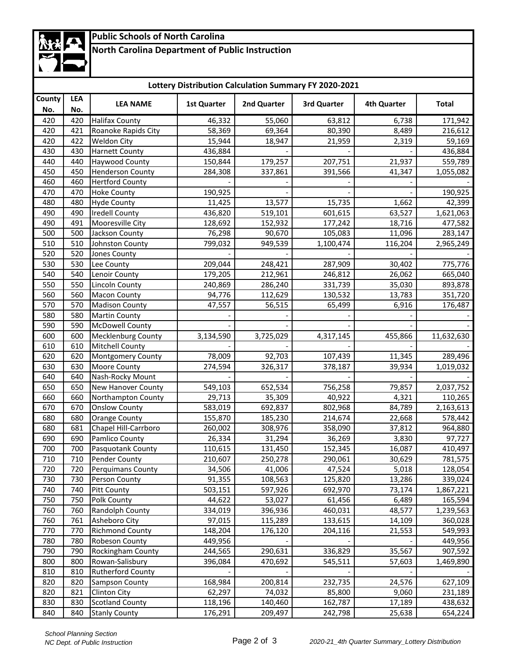# **Public Schools of North Carolina**

## **North Carolina Department of Public Instruction**

| Lottery Distribution Calculation Summary FY 2020-2021 |     |                           |                    |             |             |             |              |  |
|-------------------------------------------------------|-----|---------------------------|--------------------|-------------|-------------|-------------|--------------|--|
| County<br>LEA                                         |     |                           |                    |             |             |             |              |  |
| No.                                                   | No. | <b>LEA NAME</b>           | <b>1st Quarter</b> | 2nd Quarter | 3rd Quarter | 4th Quarter | <b>Total</b> |  |
| 420                                                   | 420 | <b>Halifax County</b>     | 46,332             | 55,060      | 63,812      | 6,738       | 171,942      |  |
| 420                                                   | 421 | Roanoke Rapids City       | 58,369             | 69,364      | 80,390      | 8,489       | 216,612      |  |
| 420                                                   | 422 | <b>Weldon City</b>        | 15,944             | 18,947      | 21,959      | 2,319       | 59,169       |  |
| 430                                                   | 430 | <b>Harnett County</b>     | 436,884            |             |             |             | 436,884      |  |
| 440                                                   | 440 | Haywood County            | 150,844            | 179,257     | 207,751     | 21,937      | 559,789      |  |
| 450                                                   | 450 | <b>Henderson County</b>   | 284,308            | 337,861     | 391,566     | 41,347      | 1,055,082    |  |
| 460                                                   | 460 | <b>Hertford County</b>    |                    |             |             |             |              |  |
| 470                                                   | 470 | <b>Hoke County</b>        | 190,925            |             |             |             | 190,925      |  |
| 480                                                   | 480 | <b>Hyde County</b>        | 11,425             | 13,577      | 15,735      | 1,662       | 42,399       |  |
| 490                                                   | 490 | <b>Iredell County</b>     | 436,820            | 519,101     | 601,615     | 63,527      | 1,621,063    |  |
| 490                                                   | 491 | Mooresville City          | 128,692            | 152,932     | 177,242     | 18,716      | 477,582      |  |
| 500                                                   | 500 | Jackson County            | 76,298             | 90,670      | 105,083     | 11,096      | 283,147      |  |
| 510                                                   | 510 | Johnston County           | 799,032            | 949,539     | 1,100,474   | 116,204     | 2,965,249    |  |
| 520                                                   | 520 | Jones County              |                    |             |             |             |              |  |
| 530                                                   | 530 | Lee County                | 209,044            | 248,421     | 287,909     | 30,402      | 775,776      |  |
| 540                                                   | 540 | Lenoir County             | 179,205            | 212,961     | 246,812     | 26,062      | 665,040      |  |
| 550                                                   | 550 | <b>Lincoln County</b>     | 240,869            | 286,240     | 331,739     | 35,030      | 893,878      |  |
| 560                                                   | 560 | <b>Macon County</b>       | 94,776             | 112,629     | 130,532     | 13,783      | 351,720      |  |
| 570                                                   | 570 | <b>Madison County</b>     | 47,557             | 56,515      | 65,499      | 6,916       | 176,487      |  |
| 580                                                   | 580 | <b>Martin County</b>      |                    |             |             |             |              |  |
| 590                                                   | 590 | <b>McDowell County</b>    |                    |             |             |             |              |  |
| 600                                                   | 600 | <b>Mecklenburg County</b> | 3,134,590          | 3,725,029   | 4,317,145   | 455,866     | 11,632,630   |  |
| 610                                                   | 610 | <b>Mitchell County</b>    |                    |             |             |             |              |  |
| 620                                                   | 620 | Montgomery County         | 78,009             | 92,703      | 107,439     | 11,345      | 289,496      |  |
| 630                                                   | 630 | Moore County              | 274,594            | 326,317     | 378,187     | 39,934      | 1,019,032    |  |
| 640                                                   | 640 | Nash-Rocky Mount          |                    |             |             |             |              |  |
| 650                                                   | 650 | <b>New Hanover County</b> | 549,103            | 652,534     | 756,258     | 79,857      | 2,037,752    |  |
| 660                                                   | 660 | Northampton County        | 29,713             | 35,309      | 40,922      | 4,321       | 110,265      |  |
| 670                                                   | 670 | <b>Onslow County</b>      | 583,019            | 692,837     | 802,968     | 84,789      | 2,163,613    |  |
| 680                                                   | 680 | <b>Orange County</b>      | 155,870            | 185,230     | 214,674     | 22,668      | 578,442      |  |
| 680                                                   | 681 | Chapel Hill-Carrboro      | 260,002            | 308,976     | 358,090     | 37,812      | 964,880      |  |
| 690                                                   | 690 | Pamlico County            | 26,334             | 31,294      | 36,269      | 3,830       | 97,727       |  |
| 700                                                   | 700 | Pasquotank County         | 110,615            | 131,450     | 152,345     | 16,087      | 410,497      |  |
| 710                                                   | 710 | <b>Pender County</b>      | 210,607            | 250,278     | 290,061     | 30,629      | 781,575      |  |
| 720                                                   | 720 | <b>Perquimans County</b>  | 34,506             | 41,006      | 47,524      | 5,018       | 128,054      |  |
| 730                                                   | 730 | Person County             | 91,355             | 108,563     | 125,820     | 13,286      | 339,024      |  |
| 740                                                   | 740 | <b>Pitt County</b>        | 503,151            | 597,926     | 692,970     | 73,174      | 1,867,221    |  |
| 750                                                   | 750 | Polk County               | 44,622             | 53,027      | 61,456      | 6,489       | 165,594      |  |
| 760                                                   | 760 | Randolph County           | 334,019            | 396,936     | 460,031     | 48,577      | 1,239,563    |  |
| 760                                                   | 761 | Asheboro City             | 97,015             | 115,289     | 133,615     | 14,109      | 360,028      |  |
| 770                                                   | 770 | <b>Richmond County</b>    | 148,204            | 176,120     | 204,116     | 21,553      | 549,993      |  |
| 780                                                   | 780 | <b>Robeson County</b>     | 449,956            |             |             |             | 449,956      |  |
| 790                                                   | 790 | Rockingham County         | 244,565            | 290,631     | 336,829     | 35,567      | 907,592      |  |
| 800                                                   | 800 | Rowan-Salisbury           | 396,084            | 470,692     | 545,511     | 57,603      | 1,469,890    |  |
| 810                                                   | 810 | <b>Rutherford County</b>  |                    |             |             |             |              |  |
| 820                                                   | 820 | Sampson County            | 168,984            | 200,814     | 232,735     | 24,576      | 627,109      |  |
| 820                                                   | 821 | <b>Clinton City</b>       | 62,297             | 74,032      | 85,800      | 9,060       | 231,189      |  |
| 830                                                   | 830 | <b>Scotland County</b>    | 118,196            | 140,460     | 162,787     | 17,189      | 438,632      |  |
| 840                                                   | 840 | <b>Stanly County</b>      | 176,291            | 209,497     | 242,798     | 25,638      | 654,224      |  |